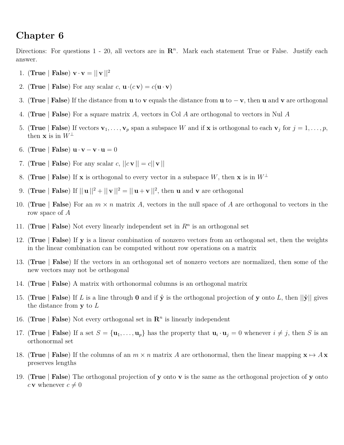## **Chapter 6**

Directions: For questions  $1 - 20$ , all vectors are in  $\mathbb{R}^n$ . Mark each statement True or False. Justify each answer.

- 1. (**True** | **False**)  $\mathbf{v} \cdot \mathbf{v} = ||\mathbf{v}||^2$
- 2. (**True** | **False**) For any scalar  $c$ ,  $\mathbf{u} \cdot (c \mathbf{v}) = c(\mathbf{u} \cdot \mathbf{v})$
- 3. (**True** | **False**) If the distance from **u** to **v** equals the distance from **u** to − **v**, then **u** and **v** are orthogonal
- 4. (**True** | **False**) For a square matrix *A*, vectors in Col *A* are orthogonal to vectors in Nul *A*
- 5. (True | False) If vectors  $\mathbf{v}_1, \ldots, \mathbf{v}_p$  span a subspace W and if **x** is orthogonal to each  $\mathbf{v}_j$  for  $j = 1, \ldots, p$ , then **x** is in  $W^{\perp}$
- 6. (**True** | **False**)  $\mathbf{u} \cdot \mathbf{v} \mathbf{v} \cdot \mathbf{u} = 0$
- 7. (**True** | **False**) For any scalar  $c$ ,  $||c \mathbf{v}|| = c||\mathbf{v}||$
- 8. (**True** | **False**) If **x** is orthogonal to every vector in a subspace *W*, then **x** is in  $W^{\perp}$
- 9. (**True** | **False**) If  $||\mathbf{u}||^2 + ||\mathbf{v}||^2 = ||\mathbf{u} + \mathbf{v}||^2$ , then **u** and **v** are orthogonal
- 10. (**True** | **False**) For an *m* × *n* matrix *A*, vectors in the null space of *A* are orthogonal to vectors in the row space of *A*
- 11. (True | False) Not every linearly independent set in  $R^n$  is an orthogonal set
- 12. (**True** | **False**) If **y** is a linear combination of nonzero vectors from an orthogonal set, then the weights in the linear combination can be computed without row operations on a matrix
- 13. (**True** | **False**) If the vectors in an orthogonal set of nonzero vectors are normalized, then some of the new vectors may not be orthogonal
- 14. (**True** | **False**) A matrix with orthonormal columns is an orthogonal matrix
- 15. (**True** | **False**) If *L* is a line through **0** and if  $\hat{y}$  is the orthogonal projection of **y** onto *L*, then  $||\hat{y}||$  gives the distance from **y** to *L*
- 16. (True | **False**) Not every orthogonal set in  $\mathbb{R}^n$  is linearly independent
- 17. (True | False) If a set  $S = {\mathbf{u}_1, \dots, \mathbf{u}_p}$  has the property that  $\mathbf{u}_i \cdot \mathbf{u}_j = 0$  whenever  $i \neq j$ , then S is an orthonormal set
- 18. (True | **False**) If the columns of an  $m \times n$  matrix A are orthonormal, then the linear mapping  $\mathbf{x} \mapsto A\mathbf{x}$ preserves lengths
- 19. (**True** | **False**) The orthogonal projection of **y** onto **v** is the same as the orthogonal projection of **y** onto *c* **v** whenever  $c \neq 0$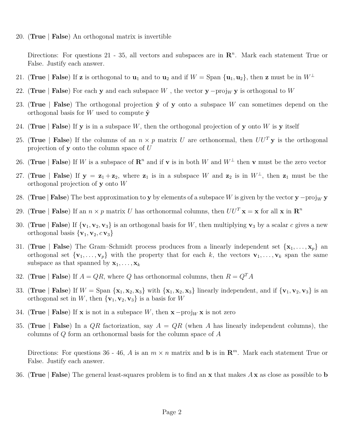20. (**True** | **False**) An orthogonal matrix is invertible

Directions: For questions 21 - 35, all vectors and subspaces are in  $\mathbb{R}^n$ . Mark each statement True or False. Justify each answer.

- 21. (**True** | **False**) If **z** is orthogonal to **u**<sub>1</sub> and to **u**<sub>2</sub> and if  $W = \text{Span } {\{\mathbf{u}_1, \mathbf{u}_2\}}$ , then **z** must be in  $W^{\perp}$
- 22. (**True** | **False**) For each **y** and each subspace *W*, the vector **y** −proj<sub>W</sub> **y** is orthogonal to *W*
- 23. (True | **False**) The orthogonal projection  $\hat{y}$  of **y** onto a subspace *W* can sometimes depend on the orthogonal basis for *W* used to compute  $\hat{\mathbf{y}}$
- 24. (True | **False**) If **y** is in a subspace *W*, then the orthogonal projection of **y** onto *W* is **y** itself
- 25. (True | **False**) If the columns of an  $n \times p$  matrix *U* are orthonormal, then  $UU^T$ **y** is the orthogonal projection of **y** onto the column space of *U*
- 26. (True | **False**) If *W* is a subspace of  $\mathbb{R}^n$  and if **v** is in both *W* and  $W^{\perp}$  then **v** must be the zero vector
- 27. (**True** | **False**) If  $y = z_1 + z_2$ , where  $z_1$  is in a subspace *W* and  $z_2$  is in  $W^{\perp}$ , then  $z_1$  must be the orthogonal projection of **y** onto *W*
- 28. (**True** | **False**) The best approximation to **y** by elements of a subspace *W* is given by the vector **y** −proj<sub>*W*</sub> **y**
- 29. (True | False) If an  $n \times p$  matrix *U* has orthonormal columns, then  $UU^T \mathbf{x} = \mathbf{x}$  for all  $\mathbf{x}$  in  $\mathbf{R}^n$
- 30. (True | **False**) If  $\{v_1, v_2, v_3\}$  is an orthogonal basis for *W*, then multiplying  $v_3$  by a scalar *c* gives a new orthogonal basis  ${\bf v}_1, {\bf v}_2, {\bf c} {\bf v}_3$
- 31. (True | **False**) The Gram–Schmidt process produces from a linearly independent set  $\{x_1, \ldots, x_p\}$  and orthogonal set  ${\bf v}_1, \ldots, {\bf v}_p$  with the property that for each *k*, the vectors  ${\bf v}_1, \ldots, {\bf v}_k$  span the same subspace as that spanned by  $\mathbf{x}_1, \ldots, \mathbf{x}_k$
- 32. (**True** | **False**) If  $A = QR$ , where  $Q$  has orthonormal columns, then  $R = Q^T A$
- 33. (True | False) If  $W = \text{Span }\{x_1, x_2, x_3\}$  with  $\{x_1, x_2, x_3\}$  linearly independent, and if  $\{v_1, v_2, v_3\}$  is an orthogonal set in *W*, then  $\{v_1, v_2, v_3\}$  is a basis for *W*
- 34. (**True** | **False**) If **x** is not in a subspace *W*, then  $\mathbf{x} \text{proj}_W \mathbf{x}$  is not zero
- 35. (**True** | **False**) In a *QR* factorization, say *A* = *QR* (when *A* has linearly independent columns), the columns of *Q* form an orthonormal basis for the column space of *A*

Directions: For questions 36 - 46, *A* is an  $m \times n$  matrix and **b** is in  $\mathbb{R}^m$ . Mark each statement True or False. Justify each answer.

36. (**True** | **False**) The general least-squares problem is to find an **x** that makes *A* **x** as close as possible to **b**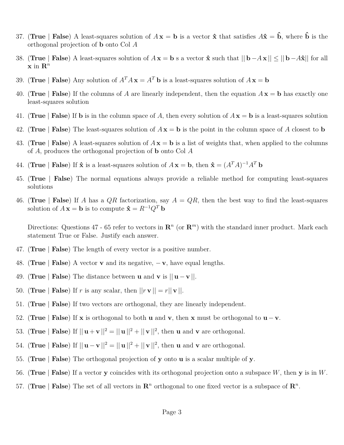- 37. (True | **False**) A least-squares solution of  $A x = b$  is a vector  $\hat{x}$  that satisfies  $A\hat{x} = \hat{b}$ , where  $\hat{b}$  is the orthogonal projection of **b** onto Col *A*
- 38. (**True** | **False**) A least-squares solution of  $A\mathbf{x} = \mathbf{b}$  s a vector  $\hat{\mathbf{x}}$  such that  $||\mathbf{b} A\mathbf{x}|| \le ||\mathbf{b} A\hat{\mathbf{x}}||$  for all  $\mathbf{x}$  in  $\mathbf{R}^n$
- 39. (**True** | **False**) Any solution of  $A^T A x = A^T b$  is a least-squares solution of  $A x = b$
- 40. (**True** | **False**) If the columns of *A* are linearly independent, then the equation  $A\mathbf{x} = \mathbf{b}$  has exactly one least-squares solution
- 41. (True | **False**) If **b** is in the column space of A, then every solution of  $A\mathbf{x} = \mathbf{b}$  is a least-squares solution
- 42. (**True** | **False**) The least-squares solution of  $A x = b$  is the point in the column space of A closest to **b**
- 43. (**True** | **False**) A least-squares solution of *A* **x** = **b** is a list of weights that, when applied to the columns of *A*, produces the orthogonal projection of **b** onto Col *A*
- 44. (**True** | **False**) If  $\hat{\mathbf{x}}$  is a least-squares solution of  $A\mathbf{x} = \mathbf{b}$ , then  $\hat{\mathbf{x}} = (A^T A)^{-1} A^T \mathbf{b}$
- 45. (**True** | **False**) The normal equations always provide a reliable method for computing least-squares solutions
- 46. (**True** | **False**) If *A* has a  $QR$  factorization, say  $A = QR$ , then the best way to find the least-squares solution of  $A\mathbf{x} = \mathbf{b}$  is to compute  $\hat{\mathbf{x}} = R^{-1}Q^T\mathbf{b}$

Directions: Questions 47 - 65 refer to vectors in  $\mathbb{R}^n$  (or  $\mathbb{R}^m$ ) with the standard inner product. Mark each statement True or False. Justify each answer.

- 47. (**True** | **False**) The length of every vector is a positive number.
- 48. (**True** | **False**) A vector **v** and its negative, − **v**, have equal lengths.
- 49. (**True** | **False**) The distance between **u** and **v** is  $||\mathbf{u} \mathbf{v}||$ .
- 50. (**True** | **False**) If *r* is any scalar, then  $||r \mathbf{v}|| = r||\mathbf{v}||$ .
- 51. (**True** | **False**) If two vectors are orthogonal, they are linearly independent.
- 52. (**True** | **False**) If **x** is orthogonal to both **u** and **v**, then **x** must be orthogonal to  $\mathbf{u} \mathbf{v}$ .
- 53. (**True** | **False**) If  $||\mathbf{u} + \mathbf{v}||^2 = ||\mathbf{u}||^2 + ||\mathbf{v}||^2$ , then **u** and **v** are orthogonal.
- 54. (**True** | **False**) If  $||\mathbf{u} \mathbf{v}||^2 = ||\mathbf{u}||^2 + ||\mathbf{v}||^2$ , then **u** and **v** are orthogonal.
- 55. (**True** | **False**) The orthogonal projection of **y** onto **u** is a scalar multiple of **y**.
- 56. (**True** | **False**) If a vector **y** coincides with its orthogonal projection onto a subspace *W*, then **y** is in *W*.
- 57. (True | **False**) The set of all vectors in  $\mathbb{R}^n$  orthogonal to one fixed vector is a subspace of  $\mathbb{R}^n$ .